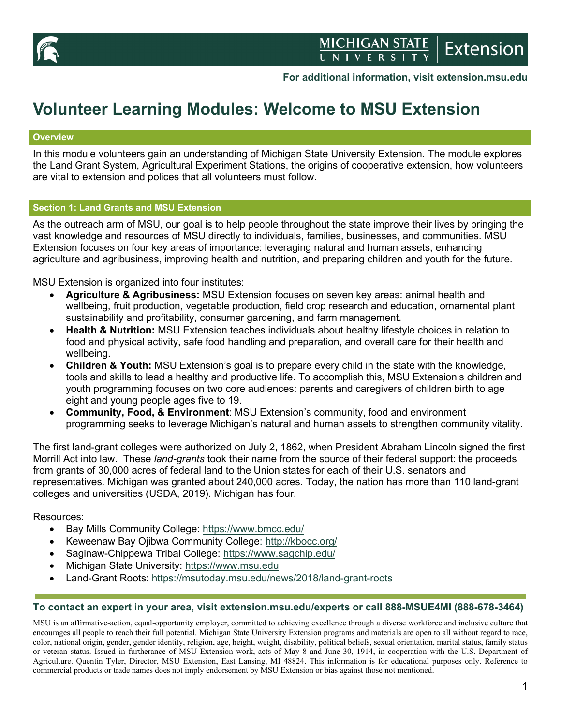

### **For additional information, visit extension.msu.edu**

# **Volunteer Learning Modules: Welcome to MSU Extension**

### **Overview**

In this module volunteers gain an understanding of Michigan State University Extension. The module explores the Land Grant System, Agricultural Experiment Stations, the origins of cooperative extension, how volunteers are vital to extension and polices that all volunteers must follow.

### **Section 1: Land Grants and MSU Extension**

As the outreach arm of MSU, our goal is to help people throughout the state improve their lives by bringing the vast knowledge and resources of MSU directly to individuals, families, businesses, and communities. MSU Extension focuses on four key areas of importance: leveraging natural and human assets, enhancing agriculture and agribusiness, improving health and nutrition, and preparing children and youth for the future.

MSU Extension is organized into four institutes:

- **Agriculture & Agribusiness:** MSU Extension focuses on seven key areas: animal health and wellbeing, fruit production, vegetable production, field crop research and education, ornamental plant sustainability and profitability, consumer gardening, and farm management.
- **Health & Nutrition:** MSU Extension teaches individuals about healthy lifestyle choices in relation to food and physical activity, safe food handling and preparation, and overall care for their health and wellbeing.
- **Children & Youth:** MSU Extension's goal is to prepare every child in the state with the knowledge, tools and skills to lead a healthy and productive life. To accomplish this, MSU Extension's children and youth programming focuses on two core audiences: parents and caregivers of children birth to age eight and young people ages five to 19.
- **Community, Food, & Environment**: MSU Extension's community, food and environment programming seeks to leverage Michigan's natural and human assets to strengthen community vitality.

The first land-grant colleges were authorized on July 2, 1862, when President Abraham Lincoln signed the first Morrill Act into law. These *land-grants* took their name from the source of their federal support: the proceeds from grants of 30,000 acres of federal land to the Union states for each of their U.S. senators and representatives. Michigan was granted about 240,000 acres. Today, the nation has more than 110 land-grant colleges and universities (USDA, 2019). Michigan has four.

Resources:

- Bay Mills Community College:<https://www.bmcc.edu/>
- Keweenaw Bay Ojibwa Community College:<http://kbocc.org/>
- Saginaw-Chippewa Tribal College: <https://www.sagchip.edu/>
- Michigan State University: [https://www.msu.edu](https://www.msu.edu/)
- Land-Grant Roots:<https://msutoday.msu.edu/news/2018/land-grant-roots>

### **To contact an expert in your area, visit extension.msu.edu/experts or call 888-MSUE4MI (888-678-3464)**

MSU is an affirmative-action, equal-opportunity employer, committed to achieving excellence through a diverse workforce and inclusive culture that encourages all people to reach their full potential. Michigan State University Extension programs and materials are open to all without regard to race, color, national origin, gender, gender identity, religion, age, height, weight, disability, political beliefs, sexual orientation, marital status, family status or veteran status. Issued in furtherance of MSU Extension work, acts of May 8 and June 30, 1914, in cooperation with the U.S. Department of Agriculture. Quentin Tyler, Director, MSU Extension, East Lansing, MI 48824. This information is for educational purposes only. Reference to commercial products or trade names does not imply endorsement by MSU Extension or bias against those not mentioned.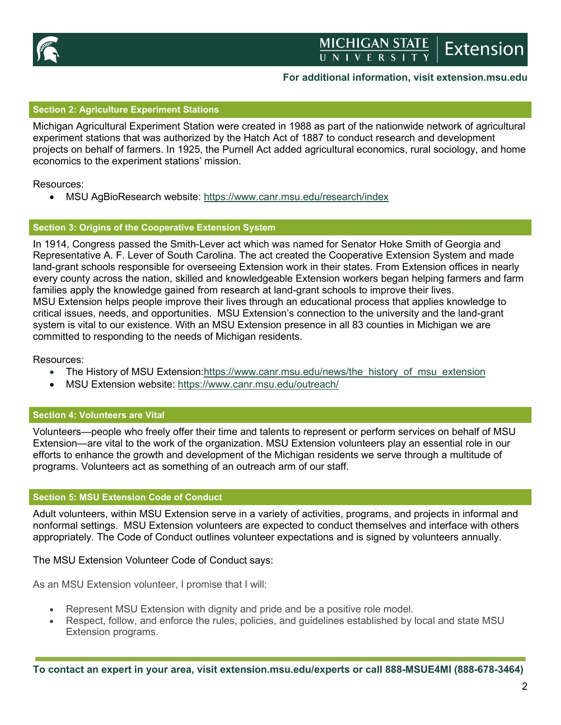

# MICHIGAN STATE<br>UNIVERSITY Extension

## **For additional information, visit extension.msu.edu**

### **Section 2: Agriculture Experiment Stations**

Michigan Agricultural Experiment Station were created in 1988 as part of the nationwide network of agricultural experiment stations that was authorized by the Hatch Act of 1887 to conduct research and development projects on behalf of farmers. In 1925, the Purnell Act added agricultural economics, rural sociology, and home economics to the experiment stations' mission.

Resources:

• MSU AgBioResearch website:<https://www.canr.msu.edu/research/index>

### **Section 3: Origins of the Cooperative Extension System**

In 1914, Congress passed the Smith-Lever act which was named for Senator Hoke Smith of Georgia and Representative A. F. Lever of South Carolina. The act created the Cooperative Extension System and made land-grant schools responsible for overseeing Extension work in their states. From Extension offices in nearly every county across the nation, skilled and knowledgeable Extension workers began helping farmers and farm families apply the knowledge gained from research at land-grant schools to improve their lives. MSU Extension helps people improve their lives through an educational process that applies knowledge to critical issues, needs, and opportunities. MSU Extension's connection to the university and the land-grant system is vital to our existence. With an MSU Extension presence in all 83 counties in Michigan we are committed to responding to the needs of Michigan residents.

Resources:

- The History of MSU Extension[:https://www.canr.msu.edu/news/the\\_history\\_of\\_msu\\_extension](https://www.canr.msu.edu/news/the_history_of_msu_extension)
- MSU Extension website:<https://www.canr.msu.edu/outreach/>

### **Section 4: Volunteers are Vital**

Volunteers—people who freely offer their time and talents to represent or perform services on behalf of MSU Extension—are vital to the work of the organization. MSU Extension volunteers play an essential role in our efforts to enhance the growth and development of the Michigan residents we serve through a multitude of programs. Volunteers act as something of an outreach arm of our staff.

### **Section 5: MSU Extension Code of Conduct**

Adult volunteers, within MSU Extension serve in a variety of activities, programs, and projects in informal and nonformal settings. MSU Extension volunteers are expected to conduct themselves and interface with others appropriately. The Code of Conduct outlines volunteer expectations and is signed by volunteers annually.

#### The MSU Extension Volunteer Code of Conduct says:

As an MSU Extension volunteer, I promise that I will:

- Represent MSU Extension with dignity and pride and be a positive role model.
- Respect, follow, and enforce the rules, policies, and guidelines established by local and state MSU Extension programs.

**To contact an expert in your area, visit extension.msu.edu/experts or call 888-MSUE4MI (888-678-3464)**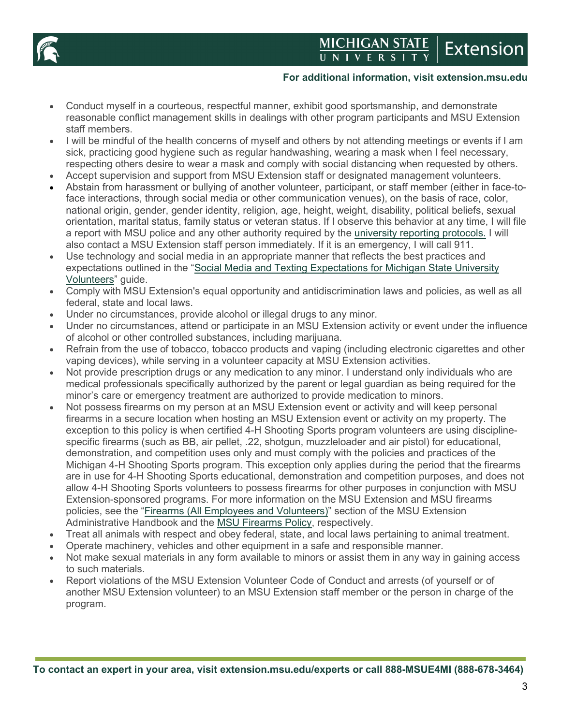

# MICHIGAN STATE **Extension**

### **For additional information, visit extension.msu.edu**

- Conduct myself in a courteous, respectful manner, exhibit good sportsmanship, and demonstrate reasonable conflict management skills in dealings with other program participants and MSU Extension staff members.
- I will be mindful of the health concerns of myself and others by not attending meetings or events if I am sick, practicing good hygiene such as regular handwashing, wearing a mask when I feel necessary, respecting others desire to wear a mask and comply with social distancing when requested by others.
- Accept supervision and support from MSU Extension staff or designated management volunteers.
- Abstain from harassment or bullying of another volunteer, participant, or staff member (either in face-toface interactions, through social media or other communication venues), on the basis of race, color, national origin, gender, gender identity, religion, age, height, weight, disability, political beliefs, sexual orientation, marital status, family status or veteran status. If I observe this behavior at any time, I will file a report with MSU police and any other authority required by the [university reporting protocols.](https://hr.msu.edu/policies-procedures/university-wide/reporting_protocols.html) I will also contact a MSU Extension staff person immediately. If it is an emergency, I will call 911.
- Use technology and social media in an appropriate manner that reflects the best practices and expectations outlined in the ["Social Media and Texting Expectations for Michigan State University](https://www.canr.msu.edu/resources/social-media-and-texting-expectations-for-michigan-state-university-extension-volunteers)  [Volunteers"](https://www.canr.msu.edu/resources/social-media-and-texting-expectations-for-michigan-state-university-extension-volunteers) guide.
- Comply with MSU Extension's equal opportunity and antidiscrimination laws and policies, as well as all federal, state and local laws.
- Under no circumstances, provide alcohol or illegal drugs to any minor.
- Under no circumstances, attend or participate in an MSU Extension activity or event under the influence of alcohol or other controlled substances, including marijuana.
- Refrain from the use of tobacco, tobacco products and vaping (including electronic cigarettes and other vaping devices), while serving in a volunteer capacity at MSU Extension activities.
- Not provide prescription drugs or any medication to any minor. I understand only individuals who are medical professionals specifically authorized by the parent or legal guardian as being required for the minor's care or emergency treatment are authorized to provide medication to minors.
- Not possess firearms on my person at an MSU Extension event or activity and will keep personal firearms in a secure location when hosting an MSU Extension event or activity on my property. The exception to this policy is when certified 4-H Shooting Sports program volunteers are using disciplinespecific firearms (such as BB, air pellet, .22, shotgun, muzzleloader and air pistol) for educational, demonstration, and competition uses only and must comply with the policies and practices of the Michigan 4-H Shooting Sports program. This exception only applies during the period that the firearms are in use for 4-H Shooting Sports educational, demonstration and competition purposes, and does not allow 4-H Shooting Sports volunteers to possess firearms for other purposes in conjunction with MSU Extension-sponsored programs. For more information on the MSU Extension and MSU firearms policies, see the ["Firearms \(All Employees and Volunteers\)"](https://www.canr.msu.edu/od/volunteer_management/Firearms.pdf) section of the MSU Extension Administrative Handbook and the [MSU Firearms Policy,](https://www.hr.msu.edu/policies-procedures/university-wide/firearm_policy.html) respectively.
- Treat all animals with respect and obey federal, state, and local laws pertaining to animal treatment.
- Operate machinery, vehicles and other equipment in a safe and responsible manner.
- Not make sexual materials in any form available to minors or assist them in any way in gaining access to such materials.
- Report violations of the MSU Extension Volunteer Code of Conduct and arrests (of yourself or of another MSU Extension volunteer) to an MSU Extension staff member or the person in charge of the program.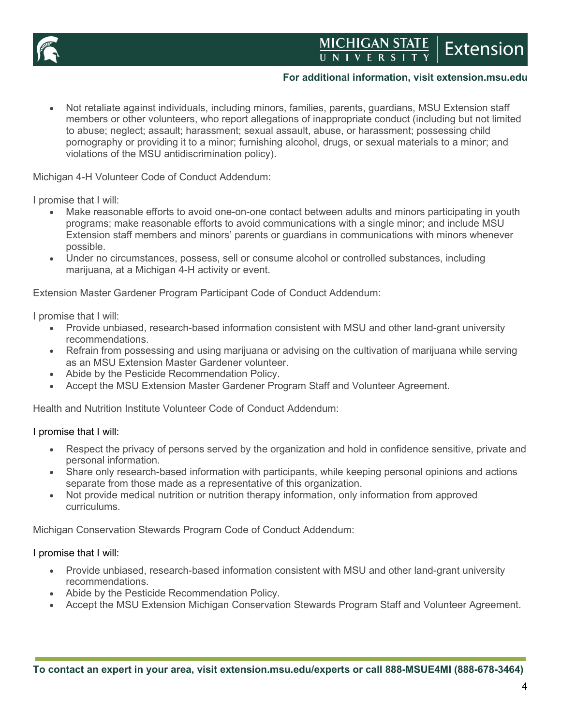

# MICHIGAN STATE **Extension**

## **For additional information, visit extension.msu.edu**

• Not retaliate against individuals, including minors, families, parents, guardians, MSU Extension staff members or other volunteers, who report allegations of inappropriate conduct (including but not limited to abuse; neglect; assault; harassment; sexual assault, abuse, or harassment; possessing child pornography or providing it to a minor; furnishing alcohol, drugs, or sexual materials to a minor; and violations of the MSU antidiscrimination policy).

Michigan 4-H Volunteer Code of Conduct Addendum:

I promise that I will:

- Make reasonable efforts to avoid one-on-one contact between adults and minors participating in youth programs; make reasonable efforts to avoid communications with a single minor; and include MSU Extension staff members and minors' parents or guardians in communications with minors whenever possible.
- Under no circumstances, possess, sell or consume alcohol or controlled substances, including marijuana, at a Michigan 4-H activity or event.

Extension Master Gardener Program Participant Code of Conduct Addendum:

I promise that I will:

- Provide unbiased, research-based information consistent with MSU and other land-grant university recommendations.
- Refrain from possessing and using marijuana or advising on the cultivation of marijuana while serving as an MSU Extension Master Gardener volunteer.
- Abide by the Pesticide Recommendation Policy.
- Accept the MSU Extension Master Gardener Program Staff and Volunteer Agreement.

Health and Nutrition Institute Volunteer Code of Conduct Addendum:

#### I promise that I will:

- Respect the privacy of persons served by the organization and hold in confidence sensitive, private and personal information.
- Share only research-based information with participants, while keeping personal opinions and actions separate from those made as a representative of this organization.
- Not provide medical nutrition or nutrition therapy information, only information from approved curriculums.

Michigan Conservation Stewards Program Code of Conduct Addendum:

### I promise that I will:

- Provide unbiased, research-based information consistent with MSU and other land-grant university recommendations.
- Abide by the Pesticide Recommendation Policy.
- Accept the MSU Extension Michigan Conservation Stewards Program Staff and Volunteer Agreement.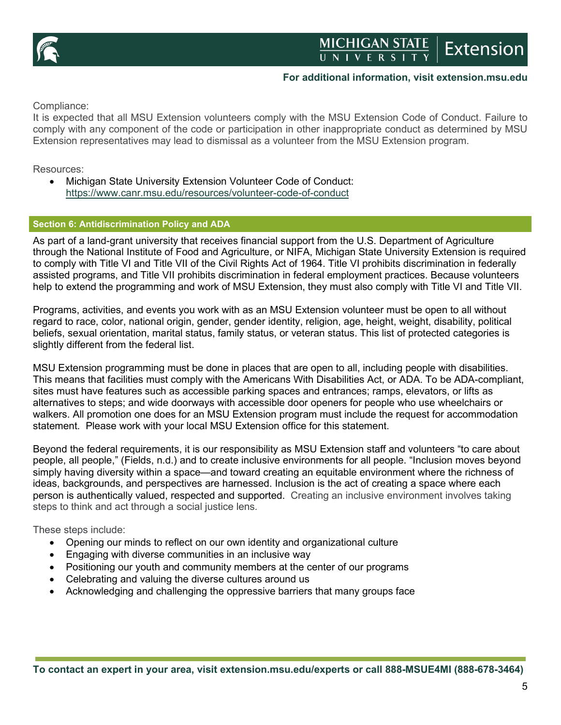

## **For additional information, visit extension.msu.edu**

Compliance:

It is expected that all MSU Extension volunteers comply with the MSU Extension Code of Conduct. Failure to comply with any component of the code or participation in other inappropriate conduct as determined by MSU Extension representatives may lead to dismissal as a volunteer from the MSU Extension program.

Resources:

• Michigan State University Extension Volunteer Code of Conduct: <https://www.canr.msu.edu/resources/volunteer-code-of-conduct>

### **Section 6: Antidiscrimination Policy and ADA**

As part of a land-grant university that receives financial support from the U.S. Department of Agriculture through the National Institute of Food and Agriculture, or NIFA, Michigan State University Extension is required to comply with Title VI and Title VII of the Civil Rights Act of 1964. Title VI prohibits discrimination in federally assisted programs, and Title VII prohibits discrimination in federal employment practices. Because volunteers help to extend the programming and work of MSU Extension, they must also comply with Title VI and Title VII.

Programs, activities, and events you work with as an MSU Extension volunteer must be open to all without regard to race, color, national origin, gender, gender identity, religion, age, height, weight, disability, political beliefs, sexual orientation, marital status, family status, or veteran status. This list of protected categories is slightly different from the federal list.

MSU Extension programming must be done in places that are open to all, including people with disabilities. This means that facilities must comply with the Americans With Disabilities Act, or ADA. To be ADA-compliant, sites must have features such as accessible parking spaces and entrances; ramps, elevators, or lifts as alternatives to steps; and wide doorways with accessible door openers for people who use wheelchairs or walkers. All promotion one does for an MSU Extension program must include the request for accommodation statement. Please work with your local MSU Extension office for this statement.

Beyond the federal requirements, it is our responsibility as MSU Extension staff and volunteers "to care about people, all people," (Fields, n.d.) and to create inclusive environments for all people. "Inclusion moves beyond simply having diversity within a space—and toward creating an equitable environment where the richness of ideas, backgrounds, and perspectives are harnessed. Inclusion is the act of creating a space where each person is authentically valued, respected and supported. Creating an inclusive environment involves taking steps to think and act through a social justice lens.

These steps include:

- Opening our minds to reflect on our own identity and organizational culture
- Engaging with diverse communities in an inclusive way
- Positioning our youth and community members at the center of our programs
- Celebrating and valuing the diverse cultures around us
- Acknowledging and challenging the oppressive barriers that many groups face